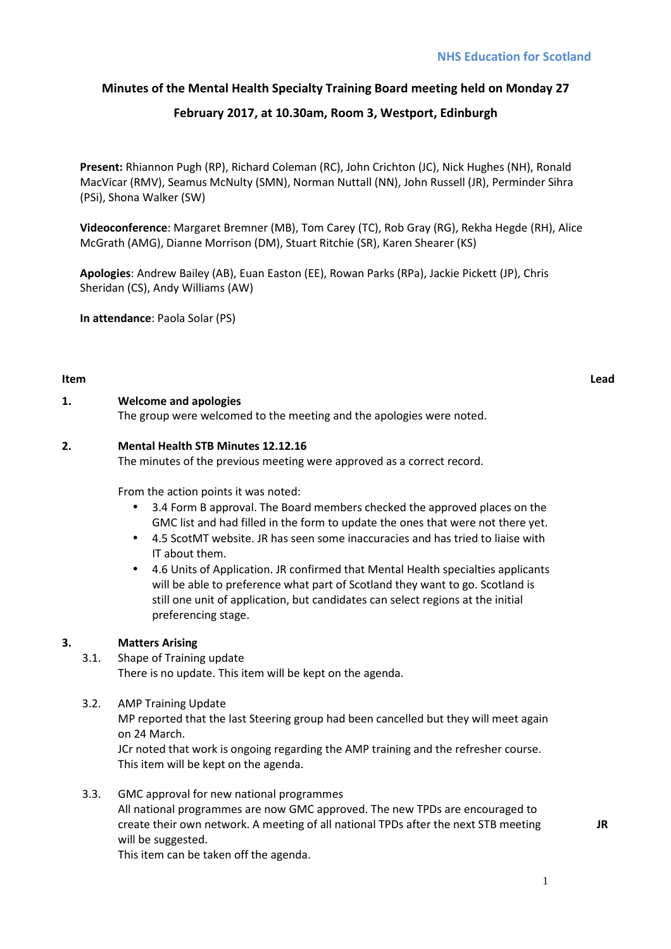# **Minutes of the Mental Health Specialty Training Board meeting held on Monday 27**

# **February 2017, at 10.30am, Room 3, Westport, Edinburgh**

**Present:** Rhiannon Pugh (RP), Richard Coleman (RC), John Crichton (JC), Nick Hughes (NH), Ronald MacVicar (RMV), Seamus McNulty (SMN), Norman Nuttall (NN), John Russell (JR), Perminder Sihra (PSi), Shona Walker (SW)

**Videoconference**: Margaret Bremner (MB), Tom Carey (TC), Rob Gray (RG), Rekha Hegde (RH), Alice McGrath (AMG), Dianne Morrison (DM), Stuart Ritchie (SR), Karen Shearer (KS)

**Apologies**: Andrew Bailey (AB), Euan Easton (EE), Rowan Parks (RPa), Jackie Pickett (JP), Chris Sheridan (CS), Andy Williams (AW)

**In attendance**: Paola Solar (PS)

#### **Item Lead**

## **1. Welcome and apologies**

The group were welcomed to the meeting and the apologies were noted.

## **2. Mental Health STB Minutes 12.12.16**

The minutes of the previous meeting were approved as a correct record.

From the action points it was noted:

- 3.4 Form B approval. The Board members checked the approved places on the GMC list and had filled in the form to update the ones that were not there yet.
- 4.5 ScotMT website. JR has seen some inaccuracies and has tried to liaise with IT about them.
- 4.6 Units of Application. JR confirmed that Mental Health specialties applicants will be able to preference what part of Scotland they want to go. Scotland is still one unit of application, but candidates can select regions at the initial preferencing stage.

## **3. Matters Arising**

## 3.1. Shape of Training update

There is no update. This item will be kept on the agenda.

3.2. AMP Training Update

MP reported that the last Steering group had been cancelled but they will meet again on 24 March.

JCr noted that work is ongoing regarding the AMP training and the refresher course. This item will be kept on the agenda.

3.3. GMC approval for new national programmes All national programmes are now GMC approved. The new TPDs are encouraged to create their own network. A meeting of all national TPDs after the next STB meeting will be suggested.

This item can be taken off the agenda.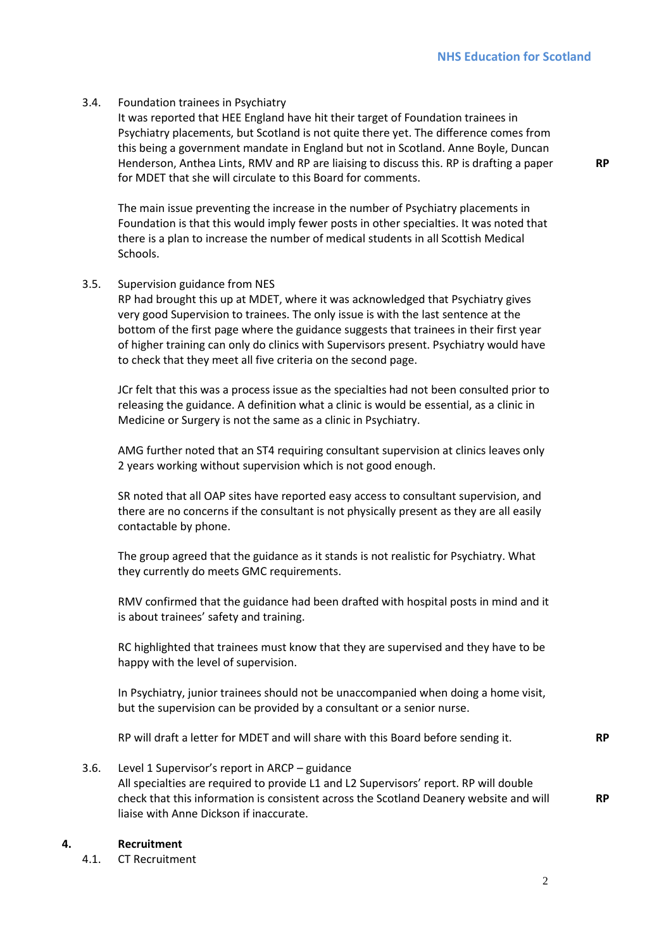**RP** 

#### 3.4. Foundation trainees in Psychiatry

It was reported that HEE England have hit their target of Foundation trainees in Psychiatry placements, but Scotland is not quite there yet. The difference comes from this being a government mandate in England but not in Scotland. Anne Boyle, Duncan Henderson, Anthea Lints, RMV and RP are liaising to discuss this. RP is drafting a paper for MDET that she will circulate to this Board for comments.

The main issue preventing the increase in the number of Psychiatry placements in Foundation is that this would imply fewer posts in other specialties. It was noted that there is a plan to increase the number of medical students in all Scottish Medical Schools.

#### 3.5. Supervision guidance from NES

RP had brought this up at MDET, where it was acknowledged that Psychiatry gives very good Supervision to trainees. The only issue is with the last sentence at the bottom of the first page where the guidance suggests that trainees in their first year of higher training can only do clinics with Supervisors present. Psychiatry would have to check that they meet all five criteria on the second page.

JCr felt that this was a process issue as the specialties had not been consulted prior to releasing the guidance. A definition what a clinic is would be essential, as a clinic in Medicine or Surgery is not the same as a clinic in Psychiatry.

AMG further noted that an ST4 requiring consultant supervision at clinics leaves only 2 years working without supervision which is not good enough.

SR noted that all OAP sites have reported easy access to consultant supervision, and there are no concerns if the consultant is not physically present as they are all easily contactable by phone.

The group agreed that the guidance as it stands is not realistic for Psychiatry. What they currently do meets GMC requirements.

RMV confirmed that the guidance had been drafted with hospital posts in mind and it is about trainees' safety and training.

RC highlighted that trainees must know that they are supervised and they have to be happy with the level of supervision.

In Psychiatry, junior trainees should not be unaccompanied when doing a home visit, but the supervision can be provided by a consultant or a senior nurse.

RP will draft a letter for MDET and will share with this Board before sending it. **RP** 

3.6. Level 1 Supervisor's report in ARCP – guidance All specialties are required to provide L1 and L2 Supervisors' report. RP will double check that this information is consistent across the Scotland Deanery website and will liaise with Anne Dickson if inaccurate.

#### **4. Recruitment**

4.1. CT Recruitment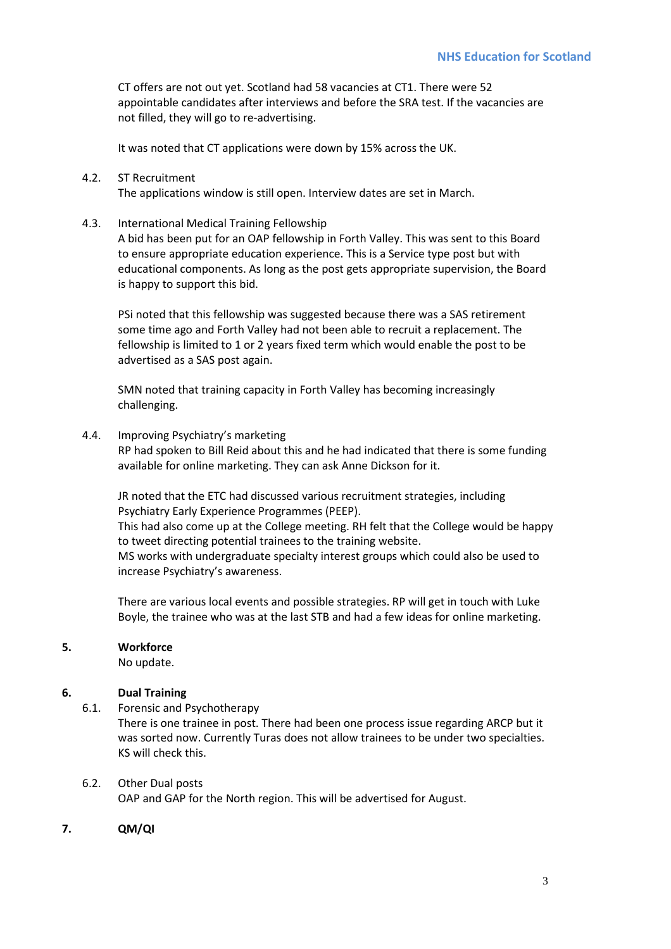CT offers are not out yet. Scotland had 58 vacancies at CT1. There were 52 appointable candidates after interviews and before the SRA test. If the vacancies are not filled, they will go to re-advertising.

It was noted that CT applications were down by 15% across the UK.

4.2. ST Recruitment

The applications window is still open. Interview dates are set in March.

4.3. International Medical Training Fellowship

A bid has been put for an OAP fellowship in Forth Valley. This was sent to this Board to ensure appropriate education experience. This is a Service type post but with educational components. As long as the post gets appropriate supervision, the Board is happy to support this bid.

PSi noted that this fellowship was suggested because there was a SAS retirement some time ago and Forth Valley had not been able to recruit a replacement. The fellowship is limited to 1 or 2 years fixed term which would enable the post to be advertised as a SAS post again.

SMN noted that training capacity in Forth Valley has becoming increasingly challenging.

4.4. Improving Psychiatry's marketing

RP had spoken to Bill Reid about this and he had indicated that there is some funding available for online marketing. They can ask Anne Dickson for it.

JR noted that the ETC had discussed various recruitment strategies, including Psychiatry Early Experience Programmes (PEEP).

This had also come up at the College meeting. RH felt that the College would be happy to tweet directing potential trainees to the training website.

MS works with undergraduate specialty interest groups which could also be used to increase Psychiatry's awareness.

There are various local events and possible strategies. RP will get in touch with Luke Boyle, the trainee who was at the last STB and had a few ideas for online marketing.

## **5. Workforce**

No update.

## **6. Dual Training**

6.1. Forensic and Psychotherapy

There is one trainee in post. There had been one process issue regarding ARCP but it was sorted now. Currently Turas does not allow trainees to be under two specialties. KS will check this.

## 6.2. Other Dual posts

OAP and GAP for the North region. This will be advertised for August.

**7. QM/QI**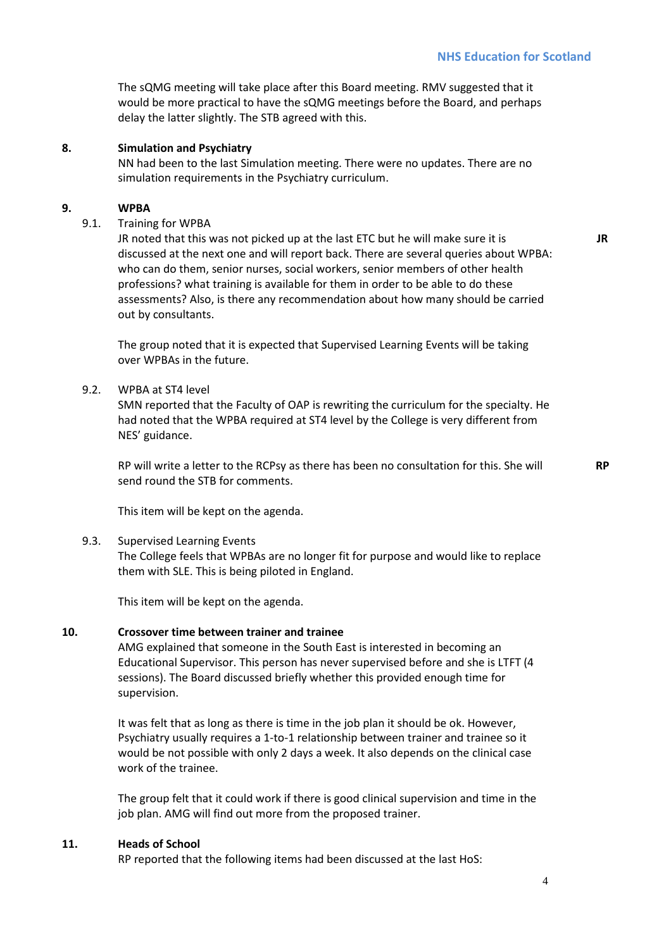The sQMG meeting will take place after this Board meeting. RMV suggested that it would be more practical to have the sQMG meetings before the Board, and perhaps delay the latter slightly. The STB agreed with this.

#### **8. Simulation and Psychiatry**

NN had been to the last Simulation meeting. There were no updates. There are no simulation requirements in the Psychiatry curriculum.

#### **9. WPBA**

#### 9.1. Training for WPBA

JR noted that this was not picked up at the last ETC but he will make sure it is discussed at the next one and will report back. There are several queries about WPBA: who can do them, senior nurses, social workers, senior members of other health professions? what training is available for them in order to be able to do these assessments? Also, is there any recommendation about how many should be carried out by consultants.

The group noted that it is expected that Supervised Learning Events will be taking over WPBAs in the future.

### 9.2. WPBA at ST4 level

SMN reported that the Faculty of OAP is rewriting the curriculum for the specialty. He had noted that the WPBA required at ST4 level by the College is very different from NES' guidance.

RP will write a letter to the RCPsy as there has been no consultation for this. She will send round the STB for comments.

**RP** 

**JR** 

This item will be kept on the agenda.

#### 9.3. Supervised Learning Events

The College feels that WPBAs are no longer fit for purpose and would like to replace them with SLE. This is being piloted in England.

This item will be kept on the agenda.

#### **10. Crossover time between trainer and trainee**

AMG explained that someone in the South East is interested in becoming an Educational Supervisor. This person has never supervised before and she is LTFT (4 sessions). The Board discussed briefly whether this provided enough time for supervision.

It was felt that as long as there is time in the job plan it should be ok. However, Psychiatry usually requires a 1-to-1 relationship between trainer and trainee so it would be not possible with only 2 days a week. It also depends on the clinical case work of the trainee.

The group felt that it could work if there is good clinical supervision and time in the job plan. AMG will find out more from the proposed trainer.

#### **11. Heads of School**

RP reported that the following items had been discussed at the last HoS: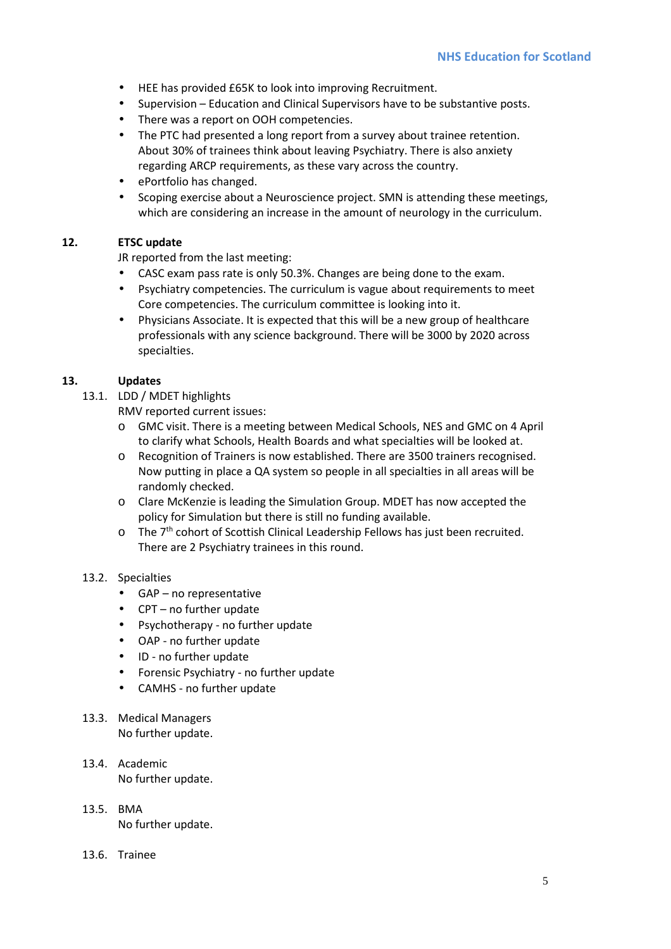- HEE has provided £65K to look into improving Recruitment.
- Supervision Education and Clinical Supervisors have to be substantive posts.
- There was a report on OOH competencies.
- The PTC had presented a long report from a survey about trainee retention. About 30% of trainees think about leaving Psychiatry. There is also anxiety regarding ARCP requirements, as these vary across the country.
- ePortfolio has changed.
- Scoping exercise about a Neuroscience project. SMN is attending these meetings, which are considering an increase in the amount of neurology in the curriculum.

## **12. ETSC update**

JR reported from the last meeting:

- CASC exam pass rate is only 50.3%. Changes are being done to the exam.
- Psychiatry competencies. The curriculum is vague about requirements to meet Core competencies. The curriculum committee is looking into it.
- Physicians Associate. It is expected that this will be a new group of healthcare professionals with any science background. There will be 3000 by 2020 across specialties.

## **13. Updates**

- 13.1. LDD / MDET highlights
	- RMV reported current issues:
	- o GMC visit. There is a meeting between Medical Schools, NES and GMC on 4 April to clarify what Schools, Health Boards and what specialties will be looked at.
	- o Recognition of Trainers is now established. There are 3500 trainers recognised. Now putting in place a QA system so people in all specialties in all areas will be randomly checked.
	- o Clare McKenzie is leading the Simulation Group. MDET has now accepted the policy for Simulation but there is still no funding available.
	- $\circ$  The  $7<sup>th</sup>$  cohort of Scottish Clinical Leadership Fellows has just been recruited. There are 2 Psychiatry trainees in this round.

## 13.2. Specialties

- GAP no representative
- CPT no further update
- Psychotherapy no further update
- OAP no further update
- ID no further update
- Forensic Psychiatry no further update
- CAMHS no further update
- 13.3. Medical Managers No further update.
- 13.4. Academic No further update.
- 13.5. BMA No further update.
- 13.6. Trainee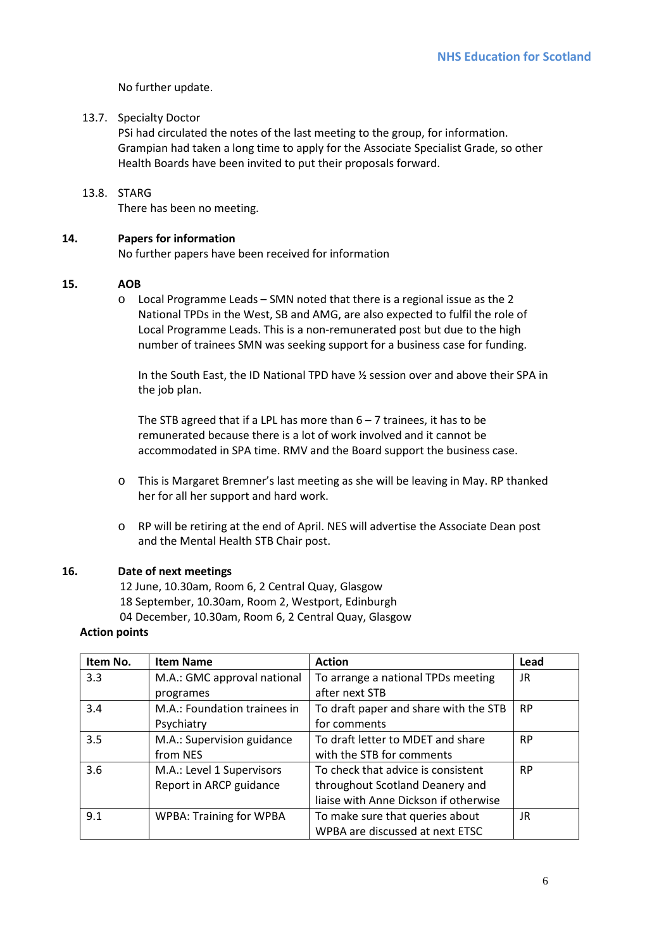No further update.

## 13.7. Specialty Doctor

PSi had circulated the notes of the last meeting to the group, for information. Grampian had taken a long time to apply for the Associate Specialist Grade, so other Health Boards have been invited to put their proposals forward.

## 13.8. STARG

There has been no meeting.

## **14. Papers for information**

No further papers have been received for information

## **15. AOB**

o Local Programme Leads – SMN noted that there is a regional issue as the 2 National TPDs in the West, SB and AMG, are also expected to fulfil the role of Local Programme Leads. This is a non-remunerated post but due to the high number of trainees SMN was seeking support for a business case for funding.

In the South East, the ID National TPD have ½ session over and above their SPA in the job plan.

The STB agreed that if a LPL has more than  $6 - 7$  trainees, it has to be remunerated because there is a lot of work involved and it cannot be accommodated in SPA time. RMV and the Board support the business case.

- o This is Margaret Bremner's last meeting as she will be leaving in May. RP thanked her for all her support and hard work.
- o RP will be retiring at the end of April. NES will advertise the Associate Dean post and the Mental Health STB Chair post.

## **16. Date of next meetings**

12 June, 10.30am, Room 6, 2 Central Quay, Glasgow 18 September, 10.30am, Room 2, Westport, Edinburgh 04 December, 10.30am, Room 6, 2 Central Quay, Glasgow

#### **Action points**

| Item No. | <b>Item Name</b>               | <b>Action</b>                         | Lead      |
|----------|--------------------------------|---------------------------------------|-----------|
| 3.3      | M.A.: GMC approval national    | To arrange a national TPDs meeting    | JR        |
|          | programes                      | after next STB                        |           |
| 3.4      | M.A.: Foundation trainees in   | To draft paper and share with the STB | <b>RP</b> |
|          | Psychiatry                     | for comments                          |           |
| 3.5      | M.A.: Supervision guidance     | To draft letter to MDET and share     | <b>RP</b> |
|          | from NES                       | with the STB for comments             |           |
| 3.6      | M.A.: Level 1 Supervisors      | To check that advice is consistent    | <b>RP</b> |
|          | Report in ARCP guidance        | throughout Scotland Deanery and       |           |
|          |                                | liaise with Anne Dickson if otherwise |           |
| 9.1      | <b>WPBA: Training for WPBA</b> | To make sure that queries about       | JR        |
|          |                                | WPBA are discussed at next ETSC       |           |